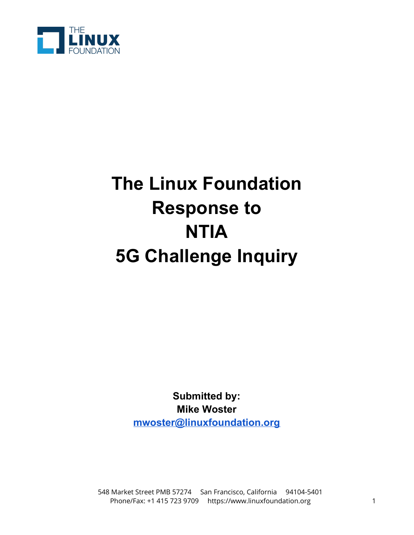

# **The Linux Foundation Response to NTIA 5G Challenge Inquiry**

**Submitted by: Mike Woster [mwoster@linuxfoundation.org](mailto:mwoster@linuxfoundation.org)**

 548 Market Street PMB 57274 San Francisco, California 94104-5401 Phone/Fax: +1 415 723 9709 [https://www.linuxfoundation.org](https://www.linuxfoundation.org/) 1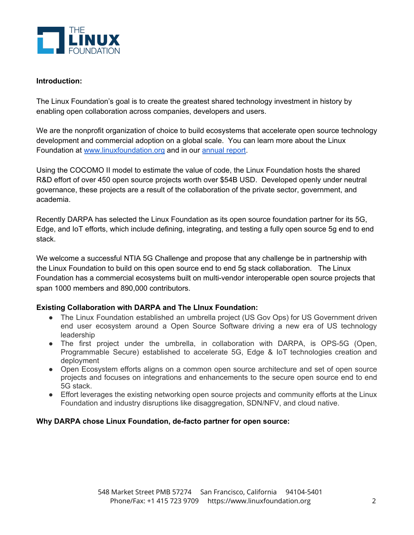

### **Introduction:**

The Linux Foundation's goal is to create the greatest shared technology investment in history by enabling open collaboration across companies, developers and users.

We are the nonprofit organization of choice to build ecosystems that accelerate open source technology development and commercial adoption on a global scale. You can learn more about the Linux Foundation at [www.linuxfoundation.org](http://www.linuxfoundation.org/) and in our [annual](https://linuxfoundation.org/wp-content/uploads/2020-Linux-Foundation-Annual-Report_120520.pdf) report.

Using the COCOMO II model to estimate the value of code, the Linux Foundation hosts the shared R&D effort of over 450 open source projects worth over \$54B USD. Developed openly under neutral governance, these projects are a result of the collaboration of the private sector, government, and academia.

Recently DARPA has selected the Linux Foundation as its open source foundation partner for its 5G, Edge, and IoT efforts, which include defining, integrating, and testing a fully open source 5g end to end stack.

We welcome a successful NTIA 5G Challenge and propose that any challenge be in partnership with the Linux Foundation to build on this open source end to end 5g stack collaboration. The Linux Foundation has a commercial ecosystems built on multi-vendor interoperable open source projects that span 1000 members and 890,000 contributors.

# **Existing Collaboration with DARPA and The LInux Foundation:**

- The Linux Foundation established an umbrella project (US Gov Ops) for US Government driven end user ecosystem around a Open Source Software driving a new era of US technology leadership
- The first project under the umbrella, in collaboration with DARPA, is OPS-5G (Open, Programmable Secure) established to accelerate 5G, Edge & IoT technologies creation and deployment
- Open Ecosystem efforts aligns on a common open source architecture and set of open source projects and focuses on integrations and enhancements to the secure open source end to end 5G stack.
- Effort leverages the existing networking open source projects and community efforts at the Linux Foundation and industry disruptions like disaggregation, SDN/NFV, and cloud native.

# **Why DARPA chose Linux Foundation, de-facto partner for open source:**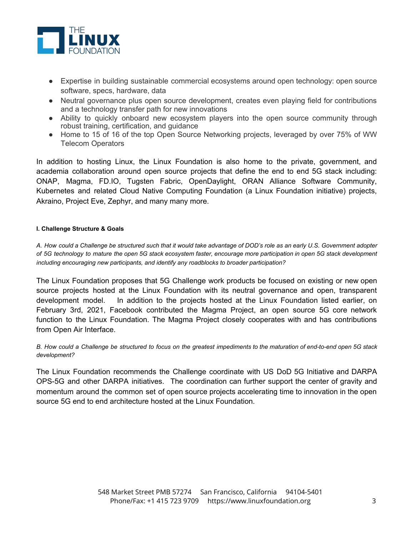

- Expertise in building sustainable commercial ecosystems around open technology: open source software, specs, hardware, data
- Neutral governance plus open source development, creates even playing field for contributions and a technology transfer path for new innovations
- Ability to quickly onboard new ecosystem players into the open source community through robust training, certification, and guidance
- Home to 15 of 16 of the top Open Source Networking projects, leveraged by over 75% of WW Telecom Operators

In addition to hosting Linux, the Linux Foundation is also home to the private, government, and academia collaboration around open source projects that define the end to end 5G stack including: ONAP, Magma, FD.IO, Tugsten Fabric, OpenDaylight, ORAN Alliance Software Community, Kubernetes and related Cloud Native Computing Foundation (a Linux Foundation initiative) projects, Akraino, Project Eve, Zephyr, and many many more.

#### **I. Challenge Structure & Goals**

A. How could a Challenge be structured such that it would take advantage of DOD's role as an early U.S. Government adopter of 5G technology to mature the open 5G stack ecosystem faster, encourage more participation in open 5G stack development *including encouraging new participants, and identify any roadblocks to broader participation?*

The Linux Foundation proposes that 5G Challenge work products be focused on existing or new open source projects hosted at the Linux Foundation with its neutral governance and open, transparent development model. In addition to the projects hosted at the Linux Foundation listed earlier, on February 3rd, 2021, Facebook contributed the Magma Project, an open source 5G core network function to the Linux Foundation. The Magma Project closely cooperates with and has contributions from Open Air Interface.

B. How could a Challenge be structured to focus on the greatest impediments to the maturation of end-to-end open 5G stack *development?*

The Linux Foundation recommends the Challenge coordinate with US DoD 5G Initiative and DARPA OPS-5G and other DARPA initiatives. The coordination can further support the center of gravity and momentum around the common set of open source projects accelerating time to innovation in the open source 5G end to end architecture hosted at the Linux Foundation.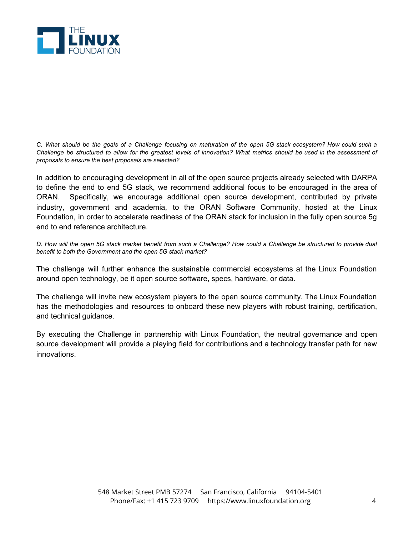

C. What should be the goals of a Challenge focusing on maturation of the open 5G stack ecosystem? How could such a Challenge be structured to allow for the greatest levels of innovation? What metrics should be used in the assessment of *proposals to ensure the best proposals are selected?*

In addition to encouraging development in all of the open source projects already selected with DARPA to define the end to end 5G stack, we recommend additional focus to be encouraged in the area of ORAN. Specifically, we encourage additional open source development, contributed by private industry, government and academia, to the ORAN Software Community, hosted at the Linux Foundation, in order to accelerate readiness of the ORAN stack for inclusion in the fully open source 5g end to end reference architecture.

D. How will the open 5G stack market benefit from such a Challenge? How could a Challenge be structured to provide dual *benefit to both the Government and the open 5G stack market?*

The challenge will further enhance the sustainable commercial ecosystems at the Linux Foundation around open technology, be it open source software, specs, hardware, or data.

The challenge will invite new ecosystem players to the open source community. The Linux Foundation has the methodologies and resources to onboard these new players with robust training, certification, and technical guidance.

By executing the Challenge in partnership with Linux Foundation, the neutral governance and open source development will provide a playing field for contributions and a technology transfer path for new innovations.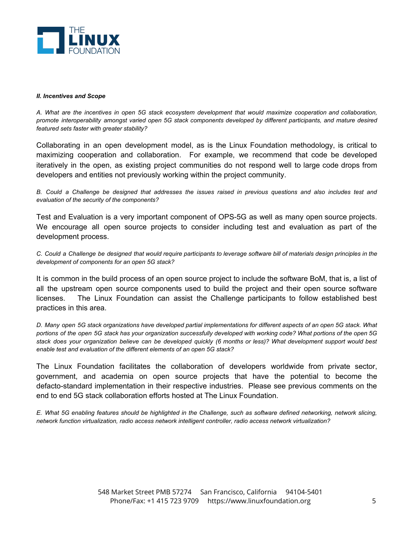

#### *II. Incentives and Scope*

A. What are the incentives in open 5G stack ecosystem development that would maximize cooperation and collaboration, promote interoperability amongst varied open 5G stack components developed by different participants, and mature desired *featured sets faster with greater stability?*

Collaborating in an open development model, as is the Linux Foundation methodology, is critical to maximizing cooperation and collaboration. For example, we recommend that code be developed iteratively in the open, as existing project communities do not respond well to large code drops from developers and entities not previously working within the project community.

B. Could a Challenge be designed that addresses the issues raised in previous questions and also includes test and *evaluation of the security of the components?*

Test and Evaluation is a very important component of OPS-5G as well as many open source projects. We encourage all open source projects to consider including test and evaluation as part of the development process.

C. Could a Challenge be designed that would require participants to leverage software bill of materials design principles in the *development of components for an open 5G stack?*

It is common in the build process of an open source project to include the software BoM, that is, a list of all the upstream open source components used to build the project and their open source software licenses. The Linux Foundation can assist the Challenge participants to follow established best practices in this area.

D. Many open 5G stack organizations have developed partial implementations for different aspects of an open 5G stack. What portions of the open 5G stack has your organization successfully developed with working code? What portions of the open 5G stack does your organization believe can be developed quickly (6 months or less)? What development support would best *enable test and evaluation of the different elements of an open 5G stack?*

The Linux Foundation facilitates the collaboration of developers worldwide from private sector, government, and academia on open source projects that have the potential to become the defacto-standard implementation in their respective industries. Please see previous comments on the end to end 5G stack collaboration efforts hosted at The Linux Foundation.

E. What 5G enabling features should be highlighted in the Challenge, such as software defined networking, network slicing, *network function virtualization, radio access network intelligent controller, radio access network virtualization?*